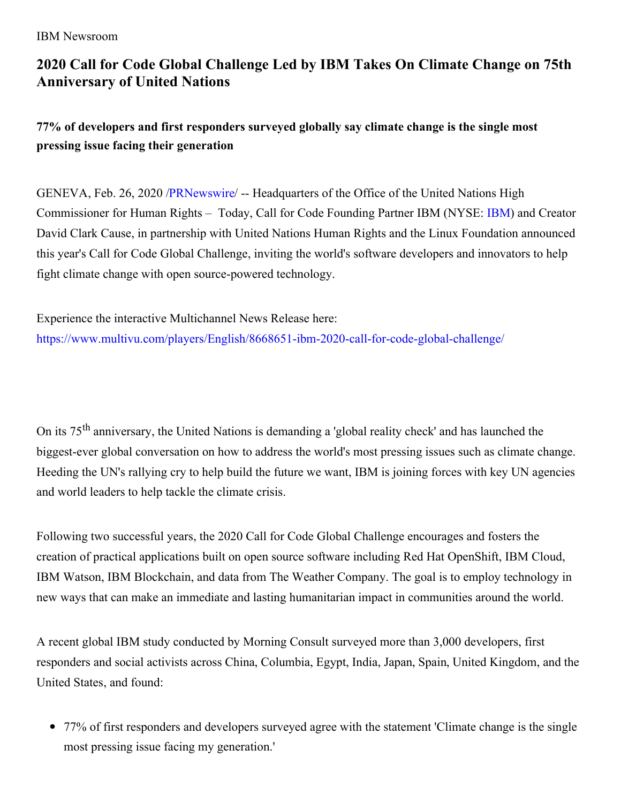IBM Newsroom

# **2020 Call for Code Global Challenge Led by IBM Takes On Climate Change on 75th Anniversary of United Nations**

# **77% of developers and first responders surveyed globally say climate change is the single most pressing issue facing their generation**

GENEVA, Feb. 26, 2020 /[PRNewswire](http://www.prnewswire.com/)/ -- Headquarters of the Office of the United Nations High Commissioner for Human Rights – Today, Call for Code Founding Partner IBM (NYSE: [IBM](https://c212.net/c/link/?t=0&l=en&o=2730662-1&h=3144049556&u=http%3A%2F%2Fwww.ibm.com%2Finvestor&a=IBM)) and Creator David Clark Cause, in partnership with United Nations Human Rights and the Linux Foundation announced this year's Call for Code Global Challenge, inviting the world's software developers and innovators to help fight climate change with open source-powered technology.

Experience the interactive Multichannel News Release here: [https://www.multivu.com/players/English/8668651-ibm-2020-call-for-code-global-challenge/](https://c212.net/c/link/?t=0&l=en&o=2730662-1&h=1564572015&u=https%3A%2F%2Fwww.multivu.com%2Fplayers%2FEnglish%2F8668651-ibm-2020-call-for-code-global-challenge%2F&a=https%3A%2F%2Fwww.multivu.com%2Fplayers%2FEnglish%2F8668651-ibm-2020-call-for-code-global-challenge%2F)

On its 75<sup>th</sup> anniversary, the United Nations is demanding a 'global reality check' and has launched the biggest-ever global conversation on how to address the world's most pressing issues such as climate change. Heeding the UN's rallying cry to help build the future we want, IBM is joining forces with key UN agencies and world leaders to help tackle the climate crisis.

Following two successful years, the 2020 Call for Code Global Challenge encourages and fosters the creation of practical applications built on open source software including Red Hat OpenShift, IBM Cloud, IBM Watson, IBM Blockchain, and data from The Weather Company. The goal is to employ technology in new ways that can make an immediate and lasting humanitarian impact in communities around the world.

A recent global IBM study conducted by Morning Consult surveyed more than 3,000 developers, first responders and social activists across China, Columbia, Egypt, India, Japan, Spain, United Kingdom, and the United States, and found:

• 77% of first responders and developers surveyed agree with the statement 'Climate change is the single most pressing issue facing my generation.'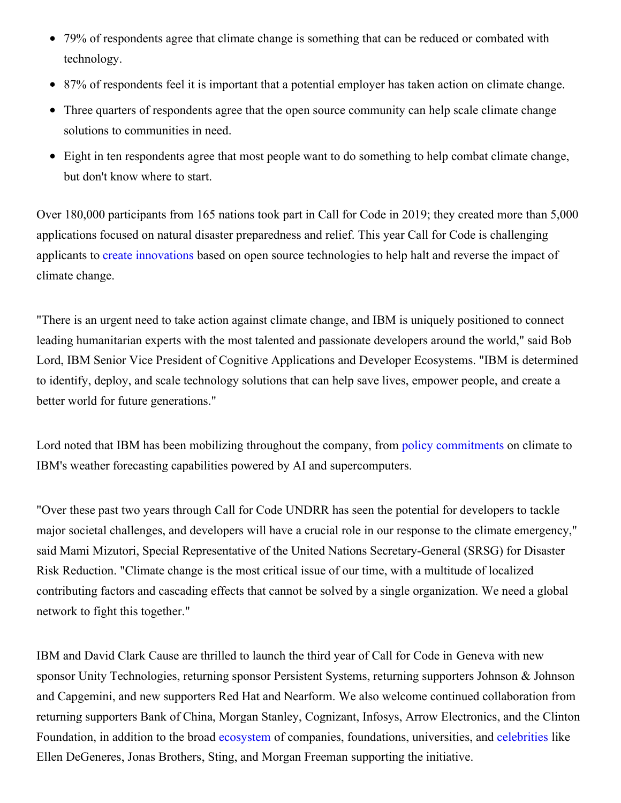- 79% of respondents agree that climate change is something that can be reduced or combated with technology.
- 87% of respondents feel it is important that a potential employer has taken action on climate change.
- Three quarters of respondents agree that the open source community can help scale climate change solutions to communities in need.
- Eight in ten respondents agree that most people want to do something to help combat climate change, but don't know where to start.

Over 180,000 participants from 165 nations took part in Call for Code in 2019; they created more than 5,000 applications focused on natural disaster preparedness and relief. This year Call for Code is challenging applicants to create [innovations](https://c212.net/c/link/?t=0&l=en&o=2730662-1&h=4089975922&u=https%3A%2F%2Fdeveloper.ibm.com%2Fcallforcode%2Fresources%2F&a=create+innovations) based on open source technologies to help halt and reverse the impact of climate change.

"There is an urgent need to take action against climate change, and IBM is uniquely positioned to connect leading humanitarian experts with the most talented and passionate developers around the world," said Bob Lord, IBM Senior Vice President of Cognitive Applications and Developer Ecosystems. "IBM is determined to identify, deploy, and scale technology solutions that can help save lives, empower people, and create a better world for future generations."

Lord noted that IBM has been mobilizing throughout the company, from policy [commitments](https://c212.net/c/link/?t=0&l=en&o=2730662-1&h=497992204&u=https%3A%2F%2Fwww.ibm.com%2Fblogs%2Fpolicy%2Fclimate-change%2F&a=policy+commitments) on climate to IBM's weather forecasting capabilities powered by AI and supercomputers.

"Over these past two years through Call for Code UNDRR has seen the potential for developers to tackle major societal challenges, and developers will have a crucial role in our response to the climate emergency," said Mami Mizutori, Special Representative of the United Nations Secretary-General (SRSG) for Disaster Risk Reduction. "Climate change is the most critical issue of our time, with a multitude of localized contributing factors and cascading effects that cannot be solved by a single organization. We need a global network to fight this together."

IBM and David Clark Cause are thrilled to launch the third year of Call for Code in Geneva with new sponsor Unity Technologies, returning sponsor Persistent Systems, returning supporters Johnson & Johnson and Capgemini, and new supporters Red Hat and Nearform. We also welcome continued collaboration from returning supporters Bank of China, Morgan Stanley, Cognizant, Infosys, Arrow Electronics, and the Clinton Foundation, in addition to the broad [ecosystem](https://c212.net/c/link/?t=0&l=en&o=2730662-1&h=1093784147&u=https%3A%2F%2Fcallforcode.org%2Fecosystem%2F&a=ecosystem) of companies, foundations, universities, and [celebrities](https://c212.net/c/link/?t=0&l=en&o=2730662-1&h=3033952609&u=https%3A%2F%2Fcauseflash.org%2Fflashes%2Fcall-code-2018%2F&a=celebrities) like Ellen DeGeneres, Jonas Brothers, Sting, and Morgan Freeman supporting the initiative.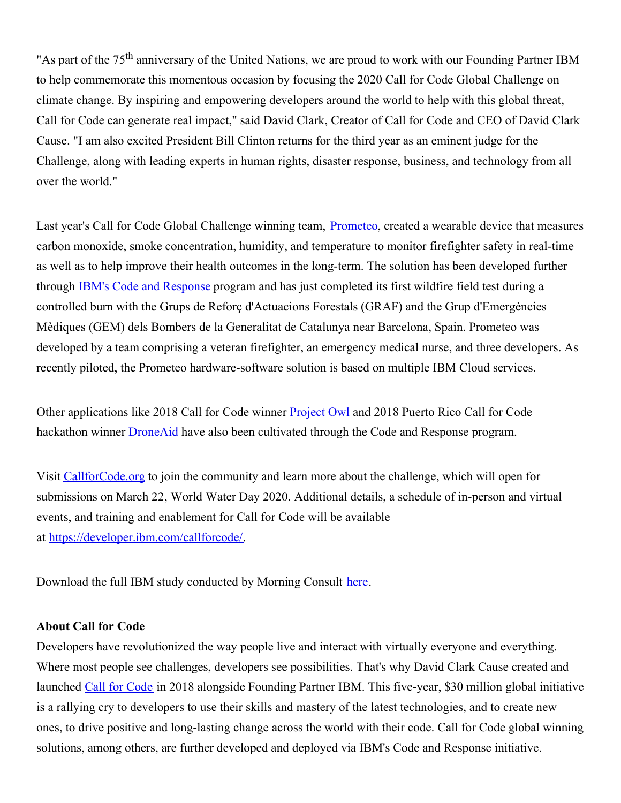"As part of the 75<sup>th</sup> anniversary of the United Nations, we are proud to work with our Founding Partner IBM to help commemorate this momentous occasion by focusing the 2020 Call for Code Global Challenge on climate change. By inspiring and empowering developers around the world to help with this global threat, Call for Code can generate real impact," said David Clark, Creator of Call for Code and CEO of David Clark Cause. "I am also excited President Bill Clinton returns for the third year as an eminent judge for the Challenge, along with leading experts in human rights, disaster response, business, and technology from all over the world."

Last year's Call for Code Global Challenge winning team, [Prometeo](https://c212.net/c/link/?t=0&l=en&o=2730662-1&h=849227458&u=https%3A%2F%2Fdeveloper.ibm.com%2Fcallforcode%2Fblogs%2Fcall-for-code-2019-finalist-prometeo%2F&a=Prometeo), created a wearable device that measures carbon monoxide, smoke concentration, humidity, and temperature to monitor firefighter safety in real-time as well as to help improve their health outcomes in the long-term. The solution has been developed further through IBM's Code and [Response](https://c212.net/c/link/?t=0&l=en&o=2730662-1&h=1706589180&u=https%3A%2F%2Fdeveloper.ibm.com%2Fcode-and-response%2F&a=IBM%27s+Code+and+Response) program and has just completed its first wildfire field test during a controlled burn with the Grups de Reforç d'Actuacions Forestals (GRAF) and the Grup d'Emergències Mèdiques (GEM) dels Bombers de la Generalitat de Catalunya near Barcelona, Spain. Prometeo was developed by a team comprising a veteran firefighter, an emergency medical nurse, and three developers. As recently piloted, the Prometeo hardware-software solution is based on multiple IBM Cloud services.

Other applications like 2018 Call for Code winner [Project](https://c212.net/c/link/?t=0&l=en&o=2730662-1&h=603386091&u=https%3A%2F%2Fdeveloper.ibm.com%2Fblogs%2Fwith-project-owl-a-smart-network-of-rubber-ducks-can-save-lives%2F&a=Project+Owl) Owl and 2018 Puerto Rico Call for Code hackathon winner [DroneAid](https://c212.net/c/link/?t=0&l=en&o=2730662-1&h=928436250&u=https%3A%2F%2Fdeveloper.ibm.com%2Fcode-and-response%2Fblogs%2Fdroneaid-is-now-open-source%2F&a=DroneAid) have also been cultivated through the Code and Response program.

Visit [CallforCode.org](https://c212.net/c/link/?t=0&l=en&o=2730662-1&h=301680526&u=http%3A%2F%2Fwww.callforcode.org%2F&a=CallforCode.org) to join the community and learn more about the challenge, which will open for submissions on March 22, World Water Day 2020. Additional details, a schedule of in-person and virtual events, and training and enablement for Call for Code will be available at [https://developer.ibm.com/callforcode/](https://c212.net/c/link/?t=0&l=en&o=2730662-1&h=940577080&u=https%3A%2F%2Fdeveloper.ibm.com%2Fcallforcode%2F&a=https%3A%2F%2Fdeveloper.ibm.com%2Fcallforcode%2F).

Download the full IBM study conducted by Morning Consult [here](https://c212.net/c/link/?t=0&l=en&o=2730662-1&h=3290606528&u=https%3A%2F%2Fnewsroom.ibm.com%2Fimage%2FMorning-Consult-IBM-Code-and-Response-Study.pdf&a=here).

#### **About Call for Code**

Developers have revolutionized the way people live and interact with virtually everyone and everything. Where most people see challenges, developers see possibilities. That's why David Clark Cause created and launched Call for [Code](https://c212.net/c/link/?t=0&l=en&o=2730662-1&h=2135842479&u=https%3A%2F%2Fc212.net%2Fc%2Flink%2F%3Ft%3D0%26l%3Den%26o%3D2582451-1%26h%3D3726730122%26u%3Dhttps%253A%252F%252Fcallforcode.org%252F%26a%3DCall%2Bfor%2BCode&a=Call+for+Code) in 2018 alongside Founding Partner IBM. This five-year, \$30 million global initiative is a rallying cry to developers to use their skills and mastery of the latest technologies, and to create new ones, to drive positive and long-lasting change across the world with their code. Call for Code global winning solutions, among others, are further developed and deployed via IBM's Code and Response initiative.